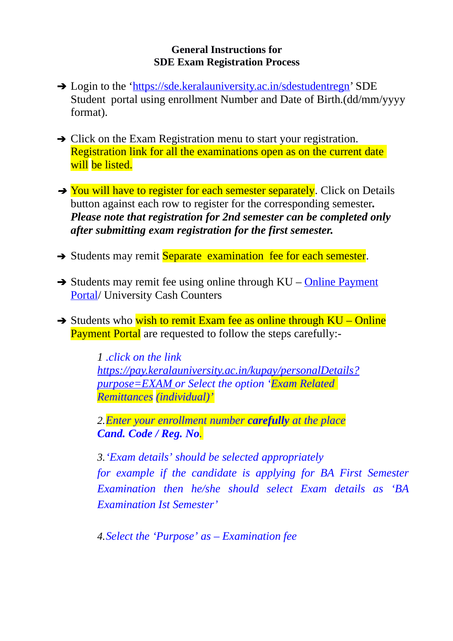## **General Instructions for SDE Exam Registration Process**

- → Login to the ['https://sde.keralauniversity.ac.in/sdestudentregn'](https://sde.keralauniversity.ac.in/sdestudentregn) SDE Student portal using enrollment Number and Date of Birth.(dd/mm/yyyy format).
- **→** Click on the Exam Registration menu to start your registration. Registration link for all the examinations open as on the current date will be listed.
- → You will have to register for each semester separately. Click on Details button against each row to register for the corresponding semester*. Please note that registration for 2nd semester can be completed only after submitting exam registration for the first semester.*
- → Students may remit Separate examination fee for each semester.
- $\rightarrow$  Students may remit fee using online through KU – [Online Payment](https://pay.keralauniversity.ac.in/kupay/personalDetails?purpose=EXAM) [Portal/](https://pay.keralauniversity.ac.in/kupay/personalDetails?purpose=EXAM) University Cash Counters
- $\rightarrow$  Students who wish to remit Exam fee as online through KU Online Payment Portal are requested to follow the steps carefully:-

*1 .click on the link [https://pay.keralauniversity.ac.in/kupay/personalDetails?](https://pay.keralauniversity.ac.in/kupay/personalDetails?purpose=EXAM)  [purpose=EXAM](https://pay.keralauniversity.ac.in/kupay/personalDetails?purpose=EXAM) or Select the option 'Exam Related Remittances (individual)'*

*2.Enter your enrollment number carefully at the place Cand. Code / Reg. No.*

*3.'Exam details' should be selected appropriately for example if the candidate is applying for BA First Semester Examination then he/she should select Exam details as 'BA Examination Ist Semester'*

*4.Select the 'Purpose' as – Examination fee*